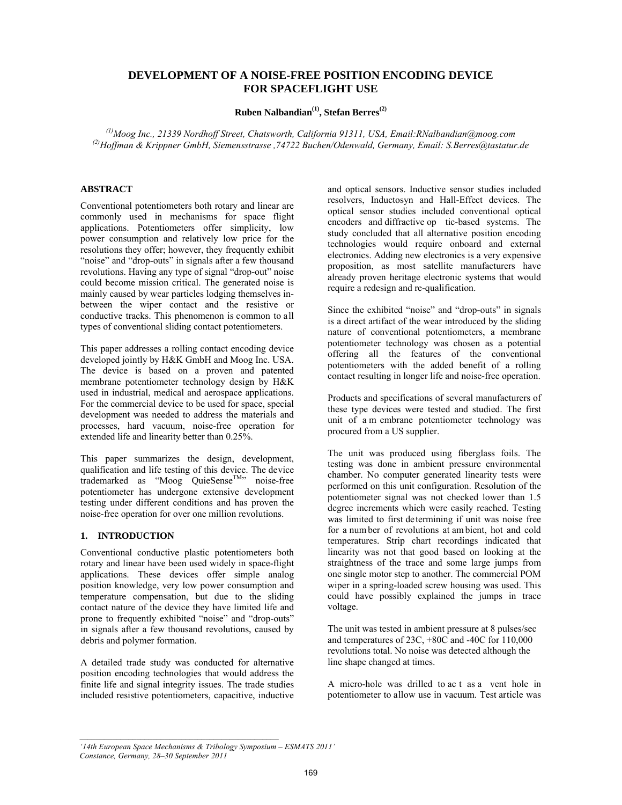# **DEVELOPMENT OF A NOISE-FREE POSITION ENCODING DEVICE FOR SPACEFLIGHT USE**

**Ruben Nalbandian(1), Stefan Berres(2)**

*(1)Moog Inc., 21339 Nordhoff Street, Chatsworth, California 91311, USA, Email:RNalbandian@moog.com (2)Hoffman & Krippner GmbH, Siemensstrasse ,74722 Buchen/Odenwald, Germany, Email: S.Berres@tastatur.de* 

#### **ABSTRACT**

Conventional potentiometers both rotary and linear are commonly used in mechanisms for space flight applications. Potentiometers offer simplicity, low power consumption and relatively low price for the resolutions they offer; however, they frequently exhibit "noise" and "drop-outs" in signals after a few thousand revolutions. Having any type of signal "drop-out" noise could become mission critical. The generated noise is mainly caused by wear particles lodging themselves inbetween the wiper contact and the resistive or conductive tracks. This phenomenon is common to all types of conventional sliding contact potentiometers.

This paper addresses a rolling contact encoding device developed jointly by H&K GmbH and Moog Inc. USA. The device is based on a proven and patented membrane potentiometer technology design by H&K used in industrial, medical and aerospace applications. For the commercial device to be used for space, special development was needed to address the materials and processes, hard vacuum, noise-free operation for extended life and linearity better than 0.25%.

This paper summarizes the design, development, qualification and life testing of this device. The device  $trademarked$  as "Moog QuieSense<sup>TM</sup>" noise-free potentiometer has undergone extensive development testing under different conditions and has proven the noise-free operation for over one million revolutions.

### 1. **INTRODUCTION**

Conventional conductive plastic potentiometers both rotary and linear have been used widely in space-flight applications. These devices offer simple analog position knowledge, very low power consumption and temperature compensation, but due to the sliding contact nature of the device they have limited life and prone to frequently exhibited "noise" and "drop-outs" in signals after a few thousand revolutions, caused by debris and polymer formation.

A detailed trade study was conducted for alternative position encoding technologies that would address the finite life and signal integrity issues. The trade studies included resistive potentiometers, capacitive, inductive and optical sensors. Inductive sensor studies included resolvers, Inductosyn and Hall-Effect devices. The optical sensor studies included conventional optical encoders and diffractive op tic-based systems. The study concluded that all alternative position encoding technologies would require onboard and external electronics. Adding new electronics is a very expensive proposition, as most satellite manufacturers have already proven heritage electronic systems that would require a redesign and re-qualification.

Since the exhibited "noise" and "drop-outs" in signals is a direct artifact of the wear introduced by the sliding nature of conventional potentiometers, a membrane potentiometer technology was chosen as a potential offering all the features of the conventional potentiometers with the added benefit of a rolling contact resulting in longer life and noise-free operation.

Products and specifications of several manufacturers of these type devices were tested and studied. The first unit of a m embrane potentiometer technology was procured from a US supplier.

The unit was produced using fiberglass foils. The testing was done in ambient pressure environmental chamber. No computer generated linearity tests were performed on this unit configuration. Resolution of the potentiometer signal was not checked lower than 1.5 degree increments which were easily reached. Testing was limited to first determining if unit was noise free for a num ber of revolutions at am bient, hot and cold temperatures. Strip chart recordings indicated that linearity was not that good based on looking at the straightness of the trace and some large jumps from one single motor step to another. The commercial POM wiper in a spring-loaded screw housing was used. This could have possibly explained the jumps in trace voltage.

The unit was tested in ambient pressure at 8 pulses/sec and temperatures of 23C, +80C and -40C for 110,000 revolutions total. No noise was detected although the line shape changed at times.

A micro-hole was drilled to ac t as a vent hole in potentiometer to allow use in vacuum. Test article was

*<sup>&#</sup>x27;14th European Space Mechanisms & Tribology Symposium – ESMATS 2011' Constance, Germany, 28–30 September 2011*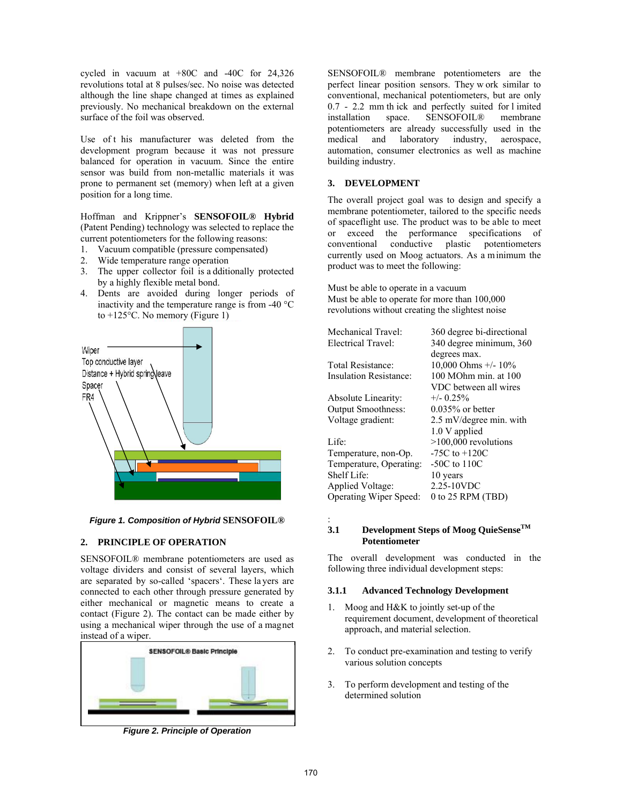cycled in vacuum at +80C and -40C for 24,326 revolutions total at 8 pulses/sec. No noise was detected although the line shape changed at times as explained previously. No mechanical breakdown on the external surface of the foil was observed.

Use of t his manufacturer was deleted from the development program because it was not pressure balanced for operation in vacuum. Since the entire sensor was build from non-metallic materials it was prone to permanent set (memory) when left at a given position for a long time.

Hoffman and Krippner's **SENSOFOIL® Hybrid** (Patent Pending) technology was selected to replace the current potentiometers for the following reasons:

- 1. Vacuum compatible (pressure compensated)
- 2. Wide temperature range operation
- 3. The upper collector foil is a dditionally protected by a highly flexible metal bond.
- 4. Dents are avoided during longer periods of inactivity and the temperature range is from -40 °C to  $+125^{\circ}$ C. No memory (Figure 1)



*Figure 1. Composition of Hybrid* **SENSOFOIL®**

### **2. PRINCIPLE OF OPERATION**

SENSOFOIL® membrane potentiometers are used as voltage dividers and consist of several layers, which are separated by so-called 'spacers'. These la yers are connected to each other through pressure generated by either mechanical or magnetic means to create a contact (Figure 2). The contact can be made either by using a mechanical wiper through the use of a magnet instead of a wiper.



*Figure 2. Principle of Operation*

SENSOFOIL® membrane potentiometers are the perfect linear position sensors. They w ork similar to conventional, mechanical potentiometers, but are only 0.7 - 2.2 mm th ick and perfectly suited for l imited installation space. SENSOFOIL® membrane potentiometers are already successfully used in the medical and laboratory industry, aerospace, automation, consumer electronics as well as machine building industry.

## 3. DEVELOPMENT

The overall project goal was to design and specify a membrane potentiometer, tailored to the specific needs of spaceflight use. The product was to be able to meet or exceed the performance specifications of conventional conductive plastic potentiometers currently used on Moog actuators. As a minimum the product was to meet the following:

Must be able to operate in a vacuum Must be able to operate for more than 100,000 revolutions without creating the slightest noise

| Mechanical Travel:            | 360 degree bi-directional |
|-------------------------------|---------------------------|
| Electrical Travel:            | 340 degree minimum, 360   |
|                               | degrees max.              |
| Total Resistance:             | 10,000 Ohms $+/- 10\%$    |
| Insulation Resistance:        | 100 MOhm min. at 100      |
|                               | VDC between all wires     |
| Absolute Linearity:           | $+/- 0.25\%$              |
| <b>Output Smoothness:</b>     | $0.035\%$ or better       |
| Voltage gradient:             | 2.5 mV/degree min. with   |
|                               | 1.0 V applied             |
| Life <sup>-</sup>             | $>100,000$ revolutions    |
| Temperature, non-Op.          | $-75C$ to $+120C$         |
| Temperature, Operating:       | $-50C$ to $110C$          |
| Shelf Life:                   | 10 years                  |
| Applied Voltage:              | 2.25-10VDC                |
| <b>Operating Wiper Speed:</b> | 0 to 25 RPM (TBD)         |
|                               |                           |

## :

#### 3.1 Development Steps of Moog QuieSense<sup>TM</sup> **Potentiometer**

The overall development was conducted in the following three individual development steps:

### 4B**3.1.1 Advanced Technology Development**

- 1. Moog and H&K to jointly set-up of the requirement document, development of theoretical approach, and material selection.
- 2. To conduct pre-examination and testing to verify various solution concepts
- 3. To perform development and testing of the determined solution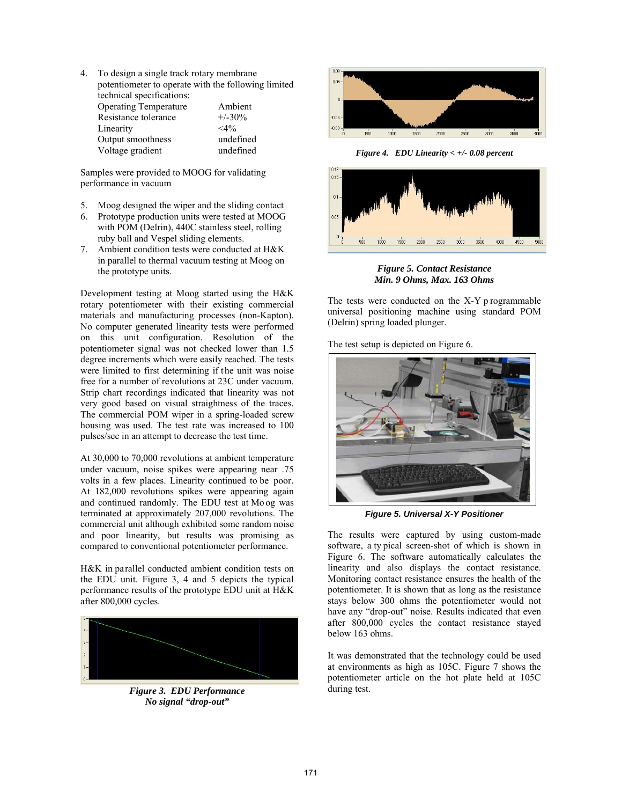4. To design a single track rotary membrane potentiometer to operate with the following limited technical specifications: Operating Temperature Ambient Resistance tolerance  $+/-30\%$ <br>Linearity  $<4\%$ Linearity  $\langle 4\%$ <br>Output smoothness undefined Output smoothness Voltage gradient undefined

Samples were provided to MOOG for validating performance in vacuum

- 5. Moog designed the wiper and the sliding contact
- 6. Prototype production units were tested at MOOG with POM (Delrin), 440C stainless steel, rolling ruby ball and Vespel sliding elements.
- 7. Ambient condition tests were conducted at H&K in parallel to thermal vacuum testing at Moog on the prototype units.

Development testing at Moog started using the H&K rotary potentiometer with their existing commercial materials and manufacturing processes (non-Kapton). No computer generated linearity tests were performed on this unit configuration. Resolution of the potentiometer signal was not checked lower than 1.5 degree increments which were easily reached. The tests were limited to first determining if the unit was noise free for a number of revolutions at 23C under vacuum. Strip chart recordings indicated that linearity was not very good based on visual straightness of the traces. The commercial POM wiper in a spring-loaded screw housing was used. The test rate was increased to 100 pulses/sec in an attempt to decrease the test time.

At 30,000 to 70,000 revolutions at ambient temperature under vacuum, noise spikes were appearing near .75 volts in a few places. Linearity continued to be poor. At 182,000 revolutions spikes were appearing again and continued randomly. The EDU test at Mo og was terminated at approximately 207,000 revolutions. The commercial unit although exhibited some random noise and poor linearity, but results was promising as compared to conventional potentiometer performance.

H&K in parallel conducted ambient condition tests on the EDU unit. Figure 3, 4 and 5 depicts the typical performance results of the prototype EDU unit at H&K after 800,000 cycles.



*Figure 3. EDU Performance No signal "drop-out"* 



*Figure 4. EDU Linearity < +/- 0.08 percent* 



*Figure 5. Contact Resistance Min. 9 Ohms, Max. 163 Ohms* 

The tests were conducted on the X-Y p rogrammable universal positioning machine using standard POM (Delrin) spring loaded plunger.

The test setup is depicted on Figure 6.



*Figure 5. Universal X-Y Positioner* 

The results were captured by using custom-made software, a ty pical screen-shot of which is shown in Figure 6. The software automatically calculates the linearity and also displays the contact resistance. Monitoring contact resistance ensures the health of the potentiometer. It is shown that as long as the resistance stays below 300 ohms the potentiometer would not have any "drop-out" noise. Results indicated that even after 800,000 cycles the contact resistance stayed below 163 ohms.

It was demonstrated that the technology could be used at environments as high as 105C. Figure 7 shows the potentiometer article on the hot plate held at 105C during test.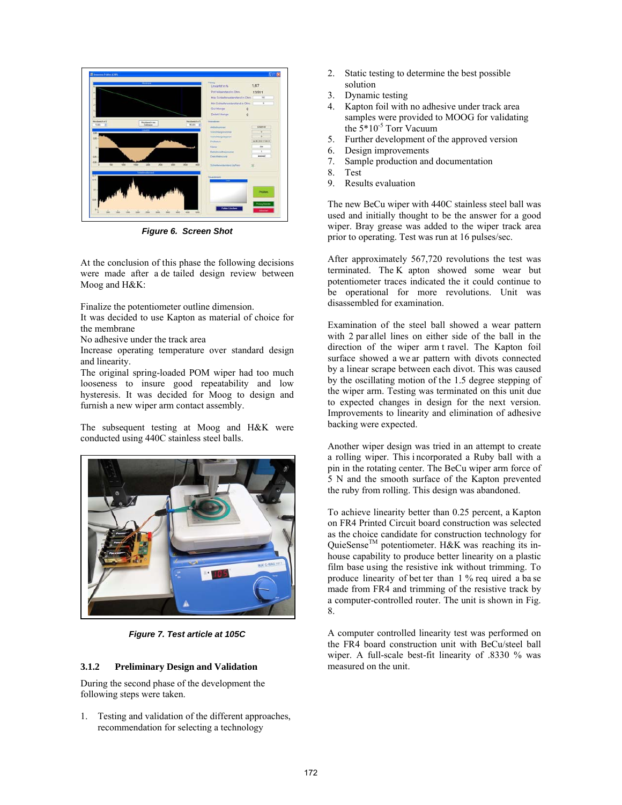

*Figure 6. Screen Shot* 

At the conclusion of this phase the following decisions were made after a de tailed design review between Moog and H&K:

Finalize the potentiometer outline dimension.

It was decided to use Kapton as material of choice for the membrane

No adhesive under the track area

Increase operating temperature over standard design and linearity.

The original spring-loaded POM wiper had too much looseness to insure good repeatability and low hysteresis. It was decided for Moog to design and furnish a new wiper arm contact assembly.

The subsequent testing at Moog and H&K were conducted using 440C stainless steel balls.



*Figure 7. Test article at 105C* 

### 5B**3.1.2 Preliminary Design and Validation**

During the second phase of the development the following steps were taken.

1. Testing and validation of the different approaches, recommendation for selecting a technology

- 2. Static testing to determine the best possible solution
- 3. Dynamic testing
- 4. Kapton foil with no adhesive under track area samples were provided to MOOG for validating the 5\*10-5 Torr Vacuum
- 5. Further development of the approved version
- 6. Design improvements
- 7. Sample production and documentation
- 8. Test<br>9. Resu
- Results evaluation

The new BeCu wiper with 440C stainless steel ball was used and initially thought to be the answer for a good wiper. Bray grease was added to the wiper track area prior to operating. Test was run at 16 pulses/sec.

After approximately 567,720 revolutions the test was terminated. The K apton showed some wear but potentiometer traces indicated the it could continue to be operational for more revolutions. Unit was disassembled for examination.

Examination of the steel ball showed a wear pattern with 2 par allel lines on either side of the ball in the direction of the wiper arm t ravel. The Kapton foil surface showed a we ar pattern with divots connected by a linear scrape between each divot. This was caused by the oscillating motion of the 1.5 degree stepping of the wiper arm. Testing was terminated on this unit due to expected changes in design for the next version. Improvements to linearity and elimination of adhesive backing were expected.

Another wiper design was tried in an attempt to create a rolling wiper. This i ncorporated a Ruby ball with a pin in the rotating center. The BeCu wiper arm force of 5 N and the smooth surface of the Kapton prevented the ruby from rolling. This design was abandoned.

To achieve linearity better than 0.25 percent, a Kapton on FR4 Printed Circuit board construction was selected as the choice candidate for construction technology for  $QuieSense^{TM}$  potentiometer. H&K was reaching its inhouse capability to produce better linearity on a plastic film base using the resistive ink without trimming. To produce linearity of bet ter than 1 % req uired a ba se made from FR4 and trimming of the resistive track by a computer-controlled router. The unit is shown in Fig. 8.

A computer controlled linearity test was performed on the FR4 board construction unit with BeCu/steel ball wiper. A full-scale best-fit linearity of .8330 % was measured on the unit.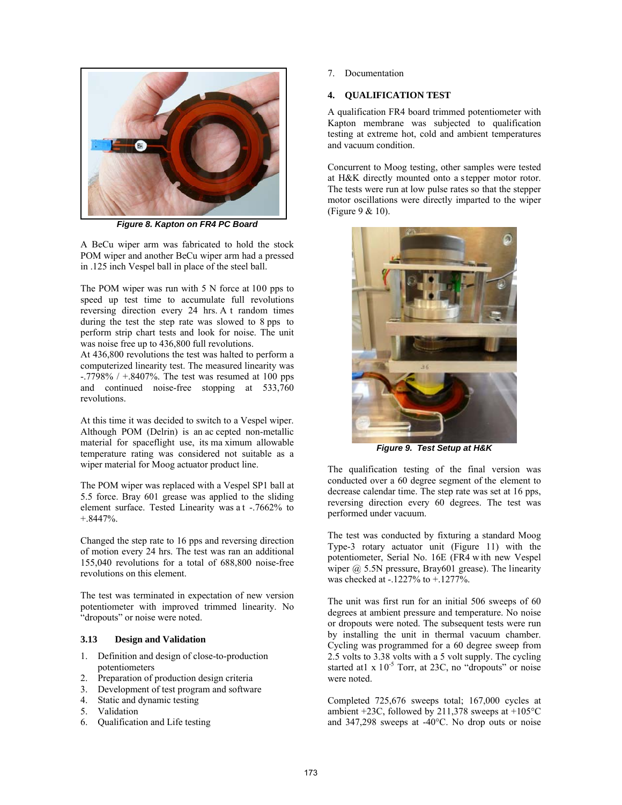

*Figure 8. Kapton on FR4 PC Board* 

A BeCu wiper arm was fabricated to hold the stock POM wiper and another BeCu wiper arm had a pressed in .125 inch Vespel ball in place of the steel ball.

The POM wiper was run with 5 N force at 100 pps to speed up test time to accumulate full revolutions reversing direction every 24 hrs. A t random times during the test the step rate was slowed to 8 pps to perform strip chart tests and look for noise. The unit was noise free up to 436,800 full revolutions.

At 436,800 revolutions the test was halted to perform a computerized linearity test. The measured linearity was  $-.7798\%$  /  $+.8407\%$ . The test was resumed at 100 pps and continued noise-free stopping at 533,760 revolutions.

At this time it was decided to switch to a Vespel wiper. Although POM (Delrin) is an ac cepted non-metallic material for spaceflight use, its ma ximum allowable temperature rating was considered not suitable as a wiper material for Moog actuator product line.

The POM wiper was replaced with a Vespel SP1 ball at 5.5 force. Bray 601 grease was applied to the sliding element surface. Tested Linearity was a t -.7662% to +.8447%.

Changed the step rate to 16 pps and reversing direction of motion every 24 hrs. The test was ran an additional 155,040 revolutions for a total of 688,800 noise-free revolutions on this element.

The test was terminated in expectation of new version potentiometer with improved trimmed linearity. No "dropouts" or noise were noted.

#### 6B**3.13 Design and Validation**

- 1. Definition and design of close-to-production potentiometers
- 2. Preparation of production design criteria
- 3. Development of test program and software
- 4. Static and dynamic testing
- 5. Validation
- 6. Qualification and Life testing

7. Documentation

# **4. OUALIFICATION TEST**

A qualification FR4 board trimmed potentiometer with Kapton membrane was subjected to qualification testing at extreme hot, cold and ambient temperatures and vacuum condition.

Concurrent to Moog testing, other samples were tested at H&K directly mounted onto a s tepper motor rotor. The tests were run at low pulse rates so that the stepper motor oscillations were directly imparted to the wiper (Figure 9 & 10).



*Figure 9. Test Setup at H&K* 

The qualification testing of the final version was conducted over a 60 degree segment of the element to decrease calendar time. The step rate was set at 16 pps, reversing direction every 60 degrees. The test was performed under vacuum.

The test was conducted by fixturing a standard Moog Type-3 rotary actuator unit (Figure 11) with the potentiometer, Serial No. 16E (FR4 w ith new Vespel wiper  $(a)$  5.5N pressure, Bray601 grease). The linearity was checked at -.1227% to +.1277%.

The unit was first run for an initial 506 sweeps of 60 degrees at ambient pressure and temperature. No noise or dropouts were noted. The subsequent tests were run by installing the unit in thermal vacuum chamber. Cycling was programmed for a 60 degree sweep from 2.5 volts to 3.38 volts with a 5 volt supply. The cycling started at  $x 10^{-5}$  Torr, at 23C, no "dropouts" or noise were noted.

Completed 725,676 sweeps total; 167,000 cycles at ambient +23C, followed by 211,378 sweeps at  $+105^{\circ}$ C and 347,298 sweeps at -40°C. No drop outs or noise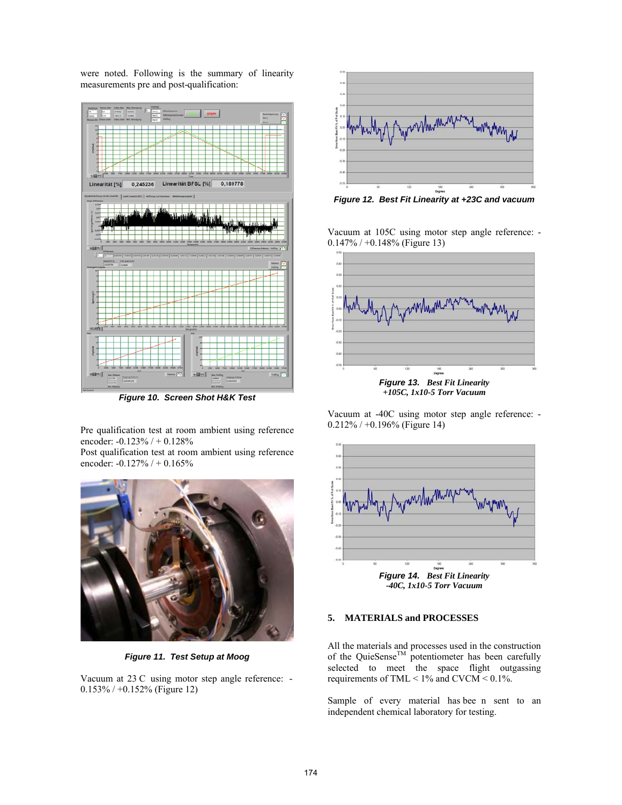were noted. Following is the summary of linearity measurements pre and post-qualification:



*Figure 10. Screen Shot H&K Test* 

Pre qualification test at room ambient using reference encoder: -0.123% / + 0.128%

Post qualification test at room ambient using reference encoder: -0.127% / + 0.165%



*Figure 11. Test Setup at Moog*

Vacuum at 23 C using motor step angle reference: - 0.153% / +0.152% (Figure 12)



*Figure 12. Best Fit Linearity at +23C and vacuum* 

Vacuum at 105C using motor step angle reference: - 0.147% / +0.148% (Figure 13)



Vacuum at -40C using motor step angle reference: - 0.212% / +0.196% (Figure 14)



*-40C, 1x10-5 Torr Vacuum* 

# **5. MATERIALS and PROCESSES**

All the materials and processes used in the construction of the QuieSense<sup>TM</sup> potentiometer has been carefully selected to meet the space flight outgassing requirements of TML  $< 1\%$  and CVCM  $< 0.1\%$ .

Sample of every material has bee n sent to an independent chemical laboratory for testing.